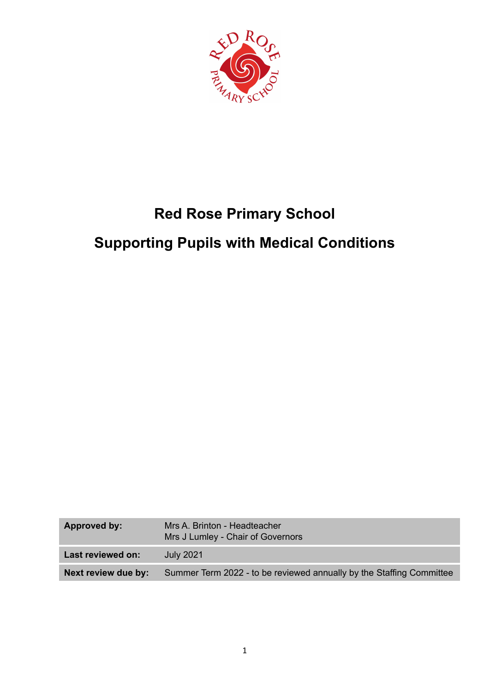

# **Red Rose Primary School Supporting Pupils with Medical Conditions**

| Approved by:        | Mrs A. Brinton - Headteacher<br>Mrs J Lumley - Chair of Governors    |
|---------------------|----------------------------------------------------------------------|
| Last reviewed on:   | July 2021                                                            |
| Next review due by: | Summer Term 2022 - to be reviewed annually by the Staffing Committee |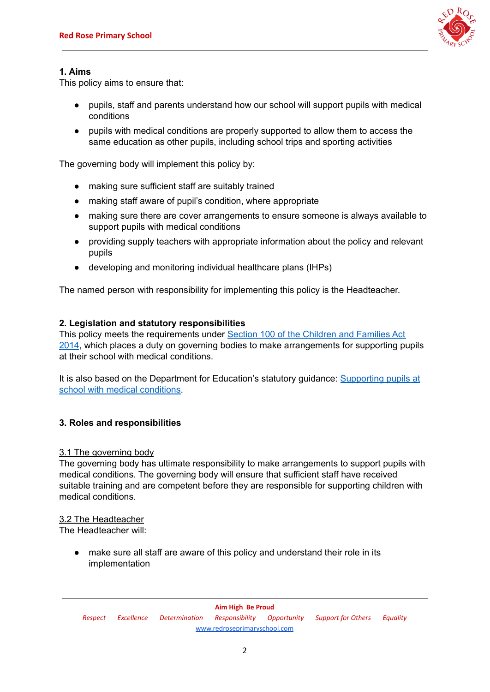

# **1. Aims**

This policy aims to ensure that:

- pupils, staff and parents understand how our school will support pupils with medical conditions
- pupils with medical conditions are properly supported to allow them to access the same education as other pupils, including school trips and sporting activities

The governing body will implement this policy by:

- making sure sufficient staff are suitably trained
- making staff aware of pupil's condition, where appropriate
- making sure there are cover arrangements to ensure someone is always available to support pupils with medical conditions
- providing supply teachers with appropriate information about the policy and relevant pupils
- developing and monitoring individual healthcare plans (IHPs)

The named person with responsibility for implementing this policy is the Headteacher.

# **2. Legislation and statutory responsibilities**

This policy meets the requirements under Section 100 of the [Children](http://www.legislation.gov.uk/ukpga/2014/6/part/5/crossheading/pupils-with-medical-conditions) and Families Act [2014](http://www.legislation.gov.uk/ukpga/2014/6/part/5/crossheading/pupils-with-medical-conditions), which places a duty on governing bodies to make arrangements for supporting pupils at their school with medical conditions.

It is also based on the Department for Education's statutory guidance: [Supporting](https://www.gov.uk/government/uploads/system/uploads/attachment_data/file/484418/supporting-pupils-at-school-with-medical-conditions.pdf) pupils at school with medical [conditions.](https://www.gov.uk/government/uploads/system/uploads/attachment_data/file/484418/supporting-pupils-at-school-with-medical-conditions.pdf)

# **3. Roles and responsibilities**

# 3.1 The governing body

The governing body has ultimate responsibility to make arrangements to support pupils with medical conditions. The governing body will ensure that sufficient staff have received suitable training and are competent before they are responsible for supporting children with medical conditions.

# 3.2 The Headteacher

The Headteacher will:

● make sure all staff are aware of this policy and understand their role in its implementation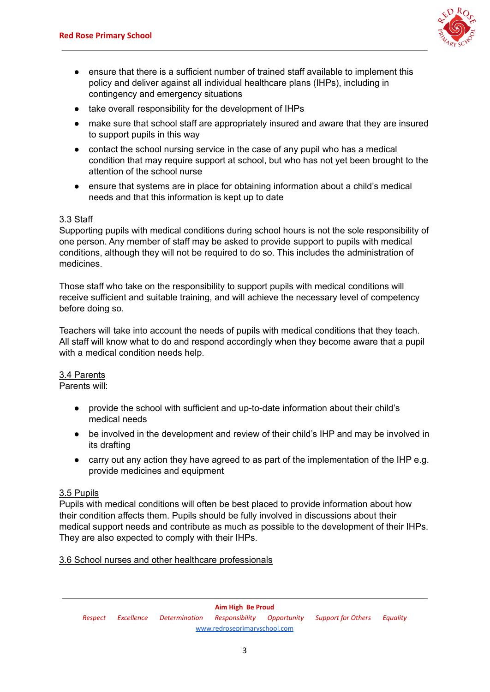

- ensure that there is a sufficient number of trained staff available to implement this policy and deliver against all individual healthcare plans (IHPs), including in contingency and emergency situations
- take overall responsibility for the development of IHPs
- make sure that school staff are appropriately insured and aware that they are insured to support pupils in this way
- contact the school nursing service in the case of any pupil who has a medical condition that may require support at school, but who has not yet been brought to the attention of the school nurse
- ensure that systems are in place for obtaining information about a child's medical needs and that this information is kept up to date

# 3.3 Staff

Supporting pupils with medical conditions during school hours is not the sole responsibility of one person. Any member of staff may be asked to provide support to pupils with medical conditions, although they will not be required to do so. This includes the administration of medicines.

Those staff who take on the responsibility to support pupils with medical conditions will receive sufficient and suitable training, and will achieve the necessary level of competency before doing so.

Teachers will take into account the needs of pupils with medical conditions that they teach. All staff will know what to do and respond accordingly when they become aware that a pupil with a medical condition needs help.

# 3.4 Parents

Parents will:

- provide the school with sufficient and up-to-date information about their child's medical needs
- be involved in the development and review of their child's IHP and may be involved in its drafting
- carry out any action they have agreed to as part of the implementation of the IHP e.g. provide medicines and equipment

# 3.5 Pupils

Pupils with medical conditions will often be best placed to provide information about how their condition affects them. Pupils should be fully involved in discussions about their medical support needs and contribute as much as possible to the development of their IHPs. They are also expected to comply with their IHPs.

# 3.6 School nurses and other healthcare professionals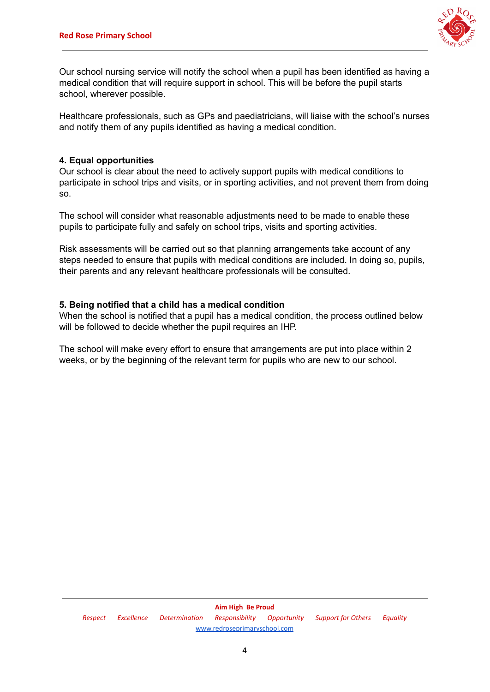

Our school nursing service will notify the school when a pupil has been identified as having a medical condition that will require support in school. This will be before the pupil starts school, wherever possible.

Healthcare professionals, such as GPs and paediatricians, will liaise with the school's nurses and notify them of any pupils identified as having a medical condition.

# **4. Equal opportunities**

Our school is clear about the need to actively support pupils with medical conditions to participate in school trips and visits, or in sporting activities, and not prevent them from doing so.

The school will consider what reasonable adjustments need to be made to enable these pupils to participate fully and safely on school trips, visits and sporting activities.

Risk assessments will be carried out so that planning arrangements take account of any steps needed to ensure that pupils with medical conditions are included. In doing so, pupils, their parents and any relevant healthcare professionals will be consulted.

#### **5. Being notified that a child has a medical condition**

When the school is notified that a pupil has a medical condition, the process outlined below will be followed to decide whether the pupil requires an IHP.

The school will make every effort to ensure that arrangements are put into place within 2 weeks, or by the beginning of the relevant term for pupils who are new to our school.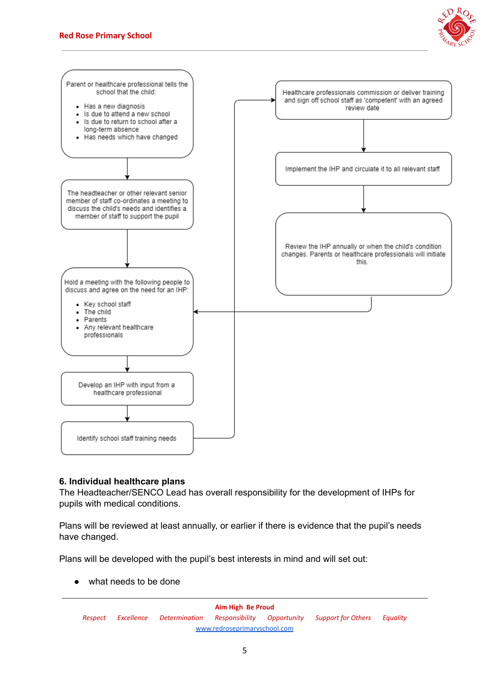



# **6. Individual healthcare plans**

The Headteacher/SENCO Lead has overall responsibility for the development of IHPs for pupils with medical conditions.

Plans will be reviewed at least annually, or earlier if there is evidence that the pupil's needs have changed.

Plans will be developed with the pupil's best interests in mind and will set out:

what needs to be done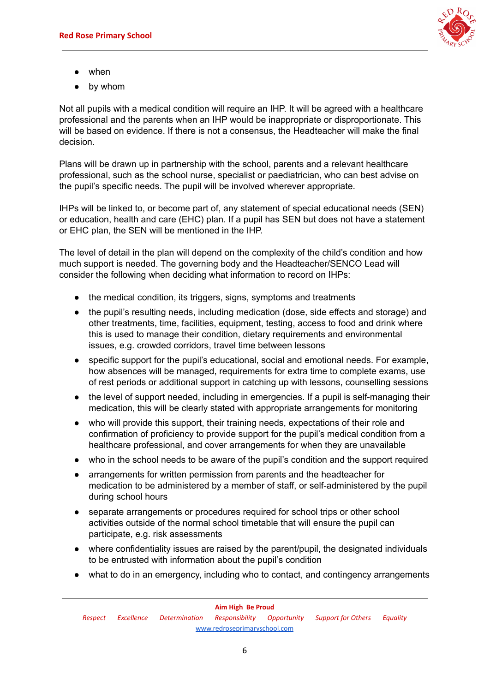

- when
- by whom

Not all pupils with a medical condition will require an IHP. It will be agreed with a healthcare professional and the parents when an IHP would be inappropriate or disproportionate. This will be based on evidence. If there is not a consensus, the Headteacher will make the final decision.

Plans will be drawn up in partnership with the school, parents and a relevant healthcare professional, such as the school nurse, specialist or paediatrician, who can best advise on the pupil's specific needs. The pupil will be involved wherever appropriate.

IHPs will be linked to, or become part of, any statement of special educational needs (SEN) or education, health and care (EHC) plan. If a pupil has SEN but does not have a statement or EHC plan, the SEN will be mentioned in the IHP.

The level of detail in the plan will depend on the complexity of the child's condition and how much support is needed. The governing body and the Headteacher/SENCO Lead will consider the following when deciding what information to record on IHPs:

- the medical condition, its triggers, signs, symptoms and treatments
- the pupil's resulting needs, including medication (dose, side effects and storage) and other treatments, time, facilities, equipment, testing, access to food and drink where this is used to manage their condition, dietary requirements and environmental issues, e.g. crowded corridors, travel time between lessons
- specific support for the pupil's educational, social and emotional needs. For example, how absences will be managed, requirements for extra time to complete exams, use of rest periods or additional support in catching up with lessons, counselling sessions
- the level of support needed, including in emergencies. If a pupil is self-managing their medication, this will be clearly stated with appropriate arrangements for monitoring
- who will provide this support, their training needs, expectations of their role and confirmation of proficiency to provide support for the pupil's medical condition from a healthcare professional, and cover arrangements for when they are unavailable
- who in the school needs to be aware of the pupil's condition and the support required
- arrangements for written permission from parents and the headteacher for medication to be administered by a member of staff, or self-administered by the pupil during school hours
- separate arrangements or procedures required for school trips or other school activities outside of the normal school timetable that will ensure the pupil can participate, e.g. risk assessments
- where confidentiality issues are raised by the parent/pupil, the designated individuals to be entrusted with information about the pupil's condition
- what to do in an emergency, including who to contact, and contingency arrangements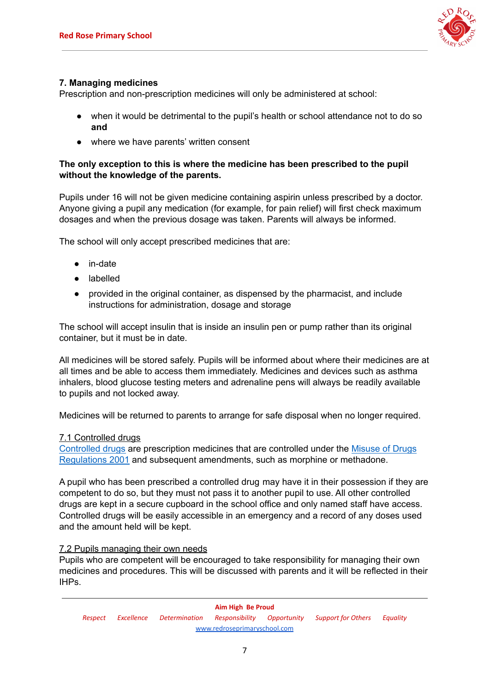

# **7. Managing medicines**

Prescription and non-prescription medicines will only be administered at school:

- when it would be detrimental to the pupil's health or school attendance not to do so **and**
- where we have parents' written consent

# **The only exception to this is where the medicine has been prescribed to the pupil without the knowledge of the parents.**

Pupils under 16 will not be given medicine containing aspirin unless prescribed by a doctor. Anyone giving a pupil any medication (for example, for pain relief) will first check maximum dosages and when the previous dosage was taken. Parents will always be informed.

The school will only accept prescribed medicines that are:

- in-date
- labelled
- provided in the original container, as dispensed by the pharmacist, and include instructions for administration, dosage and storage

The school will accept insulin that is inside an insulin pen or pump rather than its original container, but it must be in date.

All medicines will be stored safely. Pupils will be informed about where their medicines are at all times and be able to access them immediately. Medicines and devices such as asthma inhalers, blood glucose testing meters and adrenaline pens will always be readily available to pupils and not locked away.

Medicines will be returned to parents to arrange for safe disposal when no longer required.

# 7.1 Controlled drugs

[Controlled](http://www.nhs.uk/chq/Pages/1391.aspx?CategoryID=73) drugs are prescription medicines that are controlled under the [Misuse](http://www.legislation.gov.uk/uksi/2001/3998/schedule/1/made) of Drugs [Regulations](http://www.legislation.gov.uk/uksi/2001/3998/schedule/1/made) 2001 and subsequent amendments, such as morphine or methadone.

A pupil who has been prescribed a controlled drug may have it in their possession if they are competent to do so, but they must not pass it to another pupil to use. All other controlled drugs are kept in a secure cupboard in the school office and only named staff have access. Controlled drugs will be easily accessible in an emergency and a record of any doses used and the amount held will be kept.

# 7.2 Pupils managing their own needs

Pupils who are competent will be encouraged to take responsibility for managing their own medicines and procedures. This will be discussed with parents and it will be reflected in their IHPs.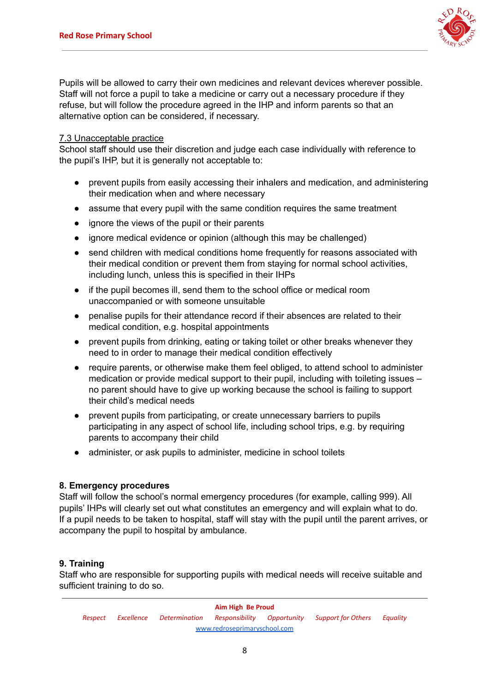

Pupils will be allowed to carry their own medicines and relevant devices wherever possible. Staff will not force a pupil to take a medicine or carry out a necessary procedure if they refuse, but will follow the procedure agreed in the IHP and inform parents so that an alternative option can be considered, if necessary.

# 7.3 Unacceptable practice

School staff should use their discretion and judge each case individually with reference to the pupil's IHP, but it is generally not acceptable to:

- **●** prevent pupils from easily accessing their inhalers and medication, and administering their medication when and where necessary
- **●** assume that every pupil with the same condition requires the same treatment
- **●** ignore the views of the pupil or their parents
- **●** ignore medical evidence or opinion (although this may be challenged)
- **●** send children with medical conditions home frequently for reasons associated with their medical condition or prevent them from staying for normal school activities, including lunch, unless this is specified in their IHPs
- **●** if the pupil becomes ill, send them to the school office or medical room unaccompanied or with someone unsuitable
- **●** penalise pupils for their attendance record if their absences are related to their medical condition, e.g. hospital appointments
- **●** prevent pupils from drinking, eating or taking toilet or other breaks whenever they need to in order to manage their medical condition effectively
- **●** require parents, or otherwise make them feel obliged, to attend school to administer medication or provide medical support to their pupil, including with toileting issues – no parent should have to give up working because the school is failing to support their child's medical needs
- **●** prevent pupils from participating, or create unnecessary barriers to pupils participating in any aspect of school life, including school trips, e.g. by requiring parents to accompany their child
- **●** administer, or ask pupils to administer, medicine in school toilets

#### **8. Emergency procedures**

Staff will follow the school's normal emergency procedures (for example, calling 999). All pupils' IHPs will clearly set out what constitutes an emergency and will explain what to do. If a pupil needs to be taken to hospital, staff will stay with the pupil until the parent arrives, or accompany the pupil to hospital by ambulance.

# **9. Training**

Staff who are responsible for supporting pupils with medical needs will receive suitable and sufficient training to do so.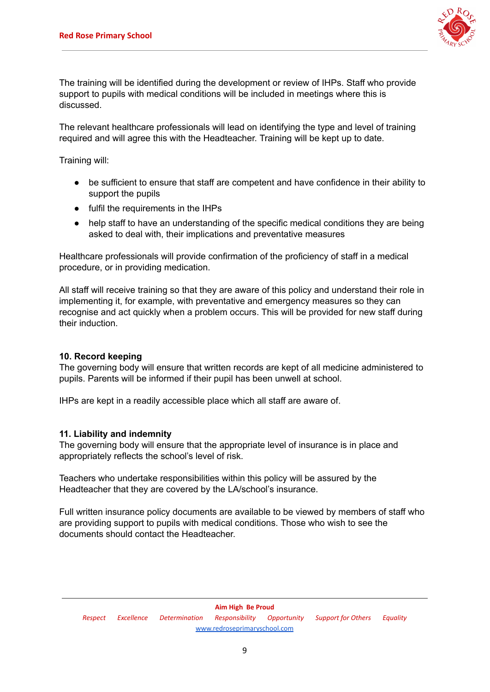

The training will be identified during the development or review of IHPs. Staff who provide support to pupils with medical conditions will be included in meetings where this is discussed.

The relevant healthcare professionals will lead on identifying the type and level of training required and will agree this with the Headteacher. Training will be kept up to date.

Training will:

- be sufficient to ensure that staff are competent and have confidence in their ability to support the pupils
- fulfil the requirements in the IHPs
- help staff to have an understanding of the specific medical conditions they are being asked to deal with, their implications and preventative measures

Healthcare professionals will provide confirmation of the proficiency of staff in a medical procedure, or in providing medication.

All staff will receive training so that they are aware of this policy and understand their role in implementing it, for example, with preventative and emergency measures so they can recognise and act quickly when a problem occurs. This will be provided for new staff during their induction.

# **10. Record keeping**

The governing body will ensure that written records are kept of all medicine administered to pupils. Parents will be informed if their pupil has been unwell at school.

IHPs are kept in a readily accessible place which all staff are aware of.

#### **11. Liability and indemnity**

The governing body will ensure that the appropriate level of insurance is in place and appropriately reflects the school's level of risk.

Teachers who undertake responsibilities within this policy will be assured by the Headteacher that they are covered by the LA/school's insurance.

Full written insurance policy documents are available to be viewed by members of staff who are providing support to pupils with medical conditions. Those who wish to see the documents should contact the Headteacher.